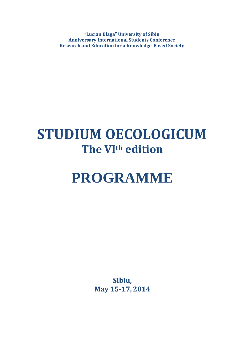**"Lucian Blaga" University of Sibiu Anniversary International Students Conference Research and Education for a Knowledge-Based Society**

## **STUDIUM OECOLOGICUM The VIth edition**

# **PROGRAMME**

**Sibiu, May 15-17,2014**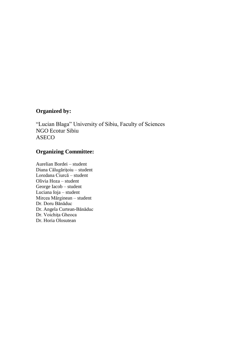#### **Organized by:**

"Lucian Blaga" University of Sibiu, Faculty of Sciences NGO Ecotur Sibiu ASECO

#### **Organizing Committee:**

Aurelian Bordei – student Diana Călugăriţoiu – student Loredana Ciurcă – student Olivia Hoza – student George Iacob – student Luciana Ioja – student Mircea Mărginean – student Dr. Doru Bănăduc Dr. Angela Curtean-Bănăduc Dr. Voichiţa Gheoca Dr. Horia Olosutean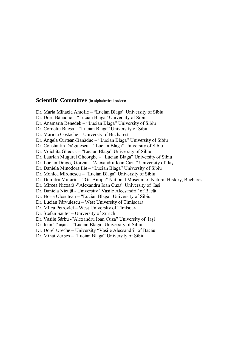#### **Scientific Committee** (in alphabetical order)**:**

Dr. Maria Mihaela Antofie – "Lucian Blaga" University of Sibiu Dr. Doru Bănăduc – "Lucian Blaga" University of Sibiu Dr. Anamaria Benedek – "Lucian Blaga" University of Sibiu Dr. Corneliu Bucşa – "Lucian Blaga" University of Sibiu Dr. Marieta Costache – Universty of Bucharest Dr. Angela Curtean-Bănăduc – "Lucian Blaga" University of Sibiu Dr. Constantin Drăgulescu – "Lucian Blaga" University of Sibiu Dr. Voichiţa Gheoca – "Lucian Blaga" University of Sibiu Dr. Laurian Mugurel Gheorghe – "Lucian Blaga" University of Sibiu Dr. Lucian Dragoş Gorgan **-**"Alexandru Ioan Cuza" University of Iaşi Dr. Daniela Minodora Ilie – "Lucian Blaga" University of Sibiu Dr. Monica Mironescu – "Lucian Blaga" University of Sibiu Dr. Dumitru Murariu – "Gr. Antipa" National Museum of Natural History, Bucharest Dr. Mircea Nicoară -"Alexandru Ioan Cuza" University of Iaşi Dr. Daniela Nicuţă - University "Vasile Alecsandri" of Bacău Dr. Horia Olosutean – "Lucian Blaga" University of Sibiu Dr. Lucian Pârvulescu – West University of Timişoara Dr. Milca Petrovici – West University of Timişoara Dr. Ştefan Sauter – University of Zurich Dr. Vasile Sârbu **-**"Alexandru Ioan Cuza" University of Iaşi Dr. Ioan Tăuşan – "Lucian Blaga" University of Sibiu Dr. Dorel Ureche – University "Vasile Alecsandri" of Bacău

Dr. Mihai Zerbeş – "Lucian Blaga" University of Sibiu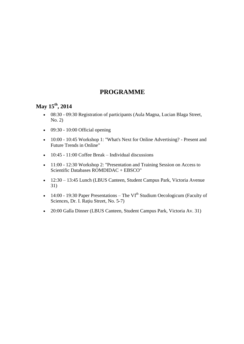#### **PROGRAMME**

#### **May 15th , 2014**

- 08:30 09:30 Registration of participants (Aula Magna, Lucian Blaga Street, No. 2)
- $\bullet$  09:30 10:00 Official opening
- 10:00 10:45 Workshop 1: "What's Next for Online Advertising? Present and Future Trends in Online"
- $\bullet$  10:45 11:00 Coffee Break Individual discussions
- 11:00 12:30 Workshop 2: "Presentation and Training Session on Access to Scientific Databases ROMDIDAC + EBSCO"
- 12:30 13:45 Lunch (LBUS Canteen, Student Campus Park, Victoria Avenue 31)
- 14:00 19:30 Paper Presentations The VI<sup>th</sup> Studium Oecologicum (Faculty of Sciences, Dr. I. Raţiu Street, No. 5-7)
- 20:00 Galla Dinner (LBUS Canteen, Student Campus Park, Victoria Av. 31)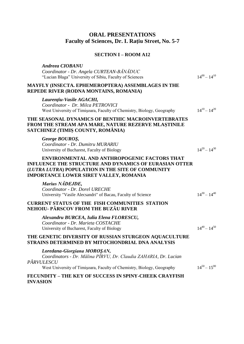#### **ORAL PRESENTATIONS Faculty of Sciences, Dr. I. Raţiu Street, No. 5-7**

#### **SECTION I – ROOM A12**

| <b>Andreea CIOBANU</b><br>Coordinator - Dr. Angela CURTEAN-BANADUC<br>"Lucian Blaga" University of Sibiu, Faculty of Sciences                                                                                              | $14^{00} - 14^{10}$ |
|----------------------------------------------------------------------------------------------------------------------------------------------------------------------------------------------------------------------------|---------------------|
| <b>MAYFLY (INSECTA. EPHEMEROPTERA) ASSEMBLAGES IN THE</b><br>REPEDE RIVER (RODNA MONTAINS, ROMANIA)                                                                                                                        |                     |
| Laurențiu-Vasile AGACHI,<br>Coordinator - Dr. Milca PETROVICI<br>West University of Timişoara, Faculty of Chemistry, Biology, Geography                                                                                    | $14^{10} - 14^{20}$ |
| THE SEASONAL DYNAMICS OF BENTHIC MACROINVERTEBRATES<br>FROM THE STREAM APA MARE, NATURE REZERVE MLASTINILE<br>SATCHINEZ (TIMIȘ COUNTY, ROMÂNIA)                                                                            |                     |
| George BOUROS,<br>Coordinator - Dr. Dumitru MURARIU<br>University of Bucharest, Faculty of Biology                                                                                                                         | $14^{20} - 14^{30}$ |
| <b>ENVIRONMENTAL AND ANTHROPOGENIC FACTORS THAT</b><br><b>INFLUENCE THE STRUCTURE AND DYNAMICS OF EURASIAN OTTER</b><br>(LUTRA LUTRA) POPULATION IN THE SITE OF COMMUNITY<br><b>IMPORTANCE LOWER SIRET VALLEY, ROMANIA</b> |                     |
| Marius NADEJDE,<br>Coordinator - Dr. Dorel URECHE<br>University "Vasile Alecsandri" of Bacau, Faculty of Science                                                                                                           | $14^{30} - 14^{40}$ |
| <b>CURRENT STATUS OF THE FISH COMMUNITIES STATION</b><br><b>NEHOIU- PÂRSCOV FROM THE BUZĂU RIVER</b>                                                                                                                       |                     |
| Alexandru BURCEA, Iulia Elena FLORESCU,<br>Coordinator - Dr. Marieta COSTACHE<br>University of Bucharest, Faculty of Biology                                                                                               | $14^{40} - 14^{50}$ |
| THE GENETIC DIVERSITY OF RUSSIAN STURGEON AQUACULTURE<br>STRAINS DETERMINED BY MITOCHONDRIAL DNA ANALYSIS                                                                                                                  |                     |
| Loredana-Giorgiana MOROŞAN,<br>Coordinators - Dr. Mălina PÎRVU, Dr. Claudia ZAHARIA, Dr. Lucian<br>PÂRVULESCU<br>West University of Timișoara, Faculty of Chemistry, Biology, Geography                                    | $14^{50} - 15^{00}$ |
| <b>FECUNDITY – THE KEY OF SUCCESS IN SPINY-CHEEK CRAYFISH</b><br><b>INVASION</b>                                                                                                                                           |                     |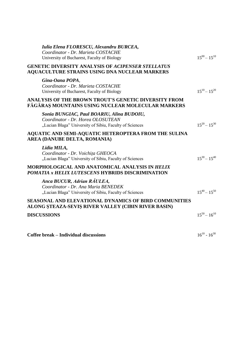| Iulia Elena FLORESCU, Alexandru BURCEA,<br>Coordinator - Dr. Marieta COSTACHE<br>University of Bucharest, Faculty of Biology              | $15^{00} - 15^{10}$ |
|-------------------------------------------------------------------------------------------------------------------------------------------|---------------------|
| <b>GENETIC DIVERSITY ANALYSIS OF ACIPENSER STELLATUS</b><br><b>AQUACULTURE STRAINS USING DNA NUCLEAR MARKERS</b>                          |                     |
| Gina-Oana POPA,<br>Coordinator - Dr. Marieta COSTACHE<br>University of Bucharest, Faculty of Biology                                      | $15^{10} - 15^{20}$ |
| <b>ANALYSIS OF THE BROWN TROUT'S GENETIC DIVERSITY FROM</b><br>FĂGĂRAȘ MOUNTAINS USING NUCLEAR MOLECULAR MARKERS                          |                     |
| Sonia BUNGIAC, Paul BOARIU, Alina BUDOIU,<br>Coordinator - Dr. Horea OLOSUTEAN<br>"Lucian Blaga" University of Sibiu, Faculty of Sciences | $15^{20} - 15^{30}$ |
| AQUATIC AND SEMI-AQUATIC HETEROPTERA FROM THE SULINA<br>AREA (DANUBE DELTA, ROMANIA)                                                      |                     |
| Lidia MILA,<br>Coordinator - Dr. Voichița GHEOCA<br>"Lucian Blaga" University of Sibiu, Faculty of Sciences                               | $15^{30} - 15^{40}$ |
| MORPHOLOGICAL AND ANATOMICAL ANALYSIS IN HELIX<br>POMATIA x HELIX LUTESCENS HYBRIDS DISCRIMINATION                                        |                     |
| Anca BUCUR, Adrian RAULEA,<br>Coordinator - Dr. Ana Maria BENEDEK<br>"Lucian Blaga" University of Sibiu, Faculty of Sciences              | $15^{40} - 15^{50}$ |
| <b>SEASONAL AND ELEVATIONAL DYNAMICS OF BIRD COMMUNITIES</b><br>ALONG STEAZA-SEVIS RIVER VALLEY (CIBIN RIVER BASIN)                       |                     |
| <b>DISCUSSIONS</b>                                                                                                                        | $15^{50} - 16^{10}$ |
|                                                                                                                                           |                     |

**Coffee break** – **Individual discussions** 

 $16^{10} - 16^{30}$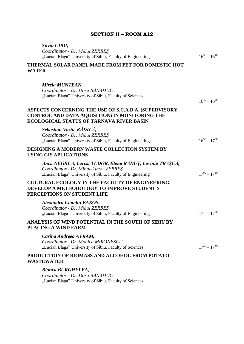| Silviu CIBU,<br>Coordinator - Dr. Mihai ZERBEŞ<br>"Lucian Blaga" University of Sibiu, Faculty of Engineering                                                   | $16^{30} - 16^{40}$ |
|----------------------------------------------------------------------------------------------------------------------------------------------------------------|---------------------|
| THERMAL SOLAR PANEL MADE FROM PET FOR DOMESTIC HOT<br><b>WATER</b>                                                                                             |                     |
| Mirela MUNTEAN,<br>Coordinator - Dr. Doru BÁNÁDUC<br>"Lucian Blaga" University of Sibiu, Faculty of Sciences                                                   | $16^{40} - 16^{50}$ |
| ASPECTS CONCERNING THE USE OF S.C.A.D.A. (SUPERVISORY<br>CONTROL AND DATA AQUISITION) IN MONITORING THE<br><b>ECOLOGICAL STATUS OF TARNAVA RIVER BASIN</b>     |                     |
| Sebastian Vasile BADILA,<br>Coordinator - Dr. Mihai ZERBEŞ<br>"Lucian Blaga" University of Sibiu, Faculty of Engineering                                       | $16^{50} - 17^{00}$ |
| <b>DESIGNING A MODERN WASTE COLLECTION SYSTEM BY</b><br><b>USING GIS APLICATIONS</b>                                                                           |                     |
| Anca NEGREA, Larisa TUDOR, Elena RÁDUȚ, Lavinia TRAȘCĂ,<br>Coordinator - Dr. Mihai-Victor ZERBES<br>"Lucian Blaga" University of Sibiu, Faculty of Engineering | $17^{00} - 17^{10}$ |
| <b>CULTURAL ECOLOGY IN THE FACULTY OF ENGINEERING.</b><br><b>DEVELOP A METHODOLOGY TO IMPROVE STUDENT'S</b><br>PERCEPTIONS ON STUDENT LIFE                     |                     |
| Alexandru Claudiu BAKOS,<br>Coordinator - Dr. Mihai ZERBEŞ<br>"Lucian Blaga" University of Sibiu, Faculty of Engineering                                       | $17^{10} - 17^{20}$ |
| ANALYSIS OF WIND POTENTIAL IN THE SOUTH OF SIBIU BY<br><b>PLACING A WIND FARM</b>                                                                              |                     |
| Carina Andreea AVRAM,<br>Coordinator - Dr. Monica MIRONESCU<br>"Lucian Blaga" University of Sibiu, Faculty of Sciences                                         | $17^{20} - 17^{30}$ |
| PRODUCTION OF BIOMASS AND ALCOHOL FROM POTATO<br>WASTEWATER                                                                                                    |                     |
| Bianca BURGHELEA,<br>Coordinator - Dr. Doru BĂNĂDUC<br>"Lucian Blaga" University of Sibiu, Faculty of Sciences                                                 |                     |

#### **SECTION II – ROOM A12**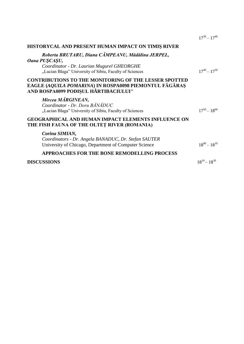|                                                                                                                                                                             | $17^{30} - 17^{40}$ |
|-----------------------------------------------------------------------------------------------------------------------------------------------------------------------------|---------------------|
| HISTORYCAL AND PRESENT HUMAN IMPACT ON TIMIS RIVER                                                                                                                          |                     |
| Roberta BRUTARU, Diana CÂMPEANU, Mădălina JERPEL,<br>Oana PUŞCAŞU,<br>Coordinator - Dr. Laurian Mugurel GHEORGHE<br>"Lucian Blaga" University of Sibiu, Faculty of Sciences | $17^{40} - 17^{50}$ |
| <b>CONTRIBUTIONS TO THE MONITORING OF THE LESSER SPOTTED</b><br>EAGLE (AQUILA POMARINA) IN ROSPA0098 PIEMONTUL FĂGĂRAȘ<br>AND ROSPA0099 PODIŞUL HÂRTIBACIULUI"              |                     |
| Mircea MARGINEAN,<br>Coordinator - Dr. Doru BĂNĂDUC<br>"Lucian Blaga" University of Sibiu, Faculty of Sciences                                                              | $17^{50} - 18^{00}$ |
| <b>GEOGRAPHICAL AND HUMAN IMPACT ELEMENTS INFLUENCE ON</b><br>THE FISH FAUNA OF THE OLTET RIVER (ROMANIA)                                                                   |                     |
| Corina SIMIAN,<br>Coordinators - Dr. Angela BANADUC, Dr. Stefan SAUTER<br>University of Chicago, Department of Computer Science                                             | $18^{00} - 18^{10}$ |
| <b>APPROACHES FOR THE BONE REMODELLING PROCESS</b>                                                                                                                          |                     |
| <b>DISCUSSIONS</b>                                                                                                                                                          | $18^{10} - 18^{30}$ |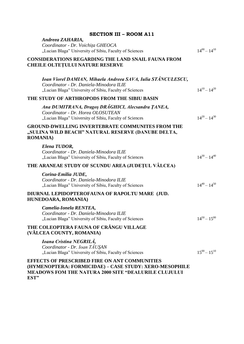| <b>SECTION III - ROOM A11</b>                                                                                                                                          |                     |
|------------------------------------------------------------------------------------------------------------------------------------------------------------------------|---------------------|
| Andreea ZAHARIA,                                                                                                                                                       |                     |
| Coordinator - Dr. Voichița GHEOCA                                                                                                                                      | $14^{00} - 14^{10}$ |
| "Lucian Blaga" University of Sibiu, Faculty of Sciences                                                                                                                |                     |
| <b>CONSIDERATIONS REGARDING THE LAND SNAIL FAUNA FROM</b><br><b>CHEILE OLTETULUI NATURE RESERVE</b>                                                                    |                     |
| Ioan Viorel DAMIAN, Mihaela Andreea SAVA, Iulia STĂNCULESCU,<br>Coordinator - Dr. Daniela-Minodora ILIE<br>"Lucian Blaga" University of Sibiu, Faculty of Sciences     | $14^{10} - 14^{20}$ |
| THE STUDY OF ARTHROPODS FROM THE SIBIU BASIN                                                                                                                           |                     |
| Ana DUMITRANA, Dragos DRAGHICI, Alecsandra ȚANEA,<br>Coordinator - Dr. Horea OLOSUTEAN<br>"Lucian Blaga" University of Sibiu, Faculty of Sciences                      | $14^{20} - 14^{30}$ |
|                                                                                                                                                                        |                     |
| <b>GROUND-DWELLING INVERTEBRATE COMMUNITES FROM THE</b><br>"SULINA WILD BEACH" NATURAL RESERVE (DANUBE DELTA,<br><b>ROMANIA</b> )                                      |                     |
| Elena TUDOR,                                                                                                                                                           |                     |
| Coordinator - Dr. Daniela-Minodora ILIE<br>"Lucian Blaga" University of Sibiu, Faculty of Sciences                                                                     | $14^{30} - 14^{40}$ |
| THE ARANEAE STUDY OF SCUNDU AREA (JUDEȚUL VÂLCEA)                                                                                                                      |                     |
| Corina-Emilia JUDE,                                                                                                                                                    |                     |
| Coordinator - Dr. Daniela-Minodora ILIE                                                                                                                                |                     |
| "Lucian Blaga" University of Sibiu, Faculty of Sciences                                                                                                                | $14^{40} - 14^{50}$ |
| DIURNAL LEPIDOPTEROFAUNA OF RAPOLTU MARE (JUD.<br>HUNEDOARA, ROMANIA)                                                                                                  |                     |
| Camelia-Ionela RENTEA,                                                                                                                                                 |                     |
| Coordinator - Dr. Daniela-Minodora ILIE<br>"Lucian Blaga" University of Sibiu, Faculty of Sciences                                                                     | $14^{50} - 15^{00}$ |
| THE COLEOPTERA FAUNA OF CRÂNGU VILLAGE<br>(VÂLCEA COUNTY, ROMANIA)                                                                                                     |                     |
| Ioana Cristina NEGRILÁ,<br>Coordinator - Dr. Ioan TĂUŞAN<br>"Lucian Blaga" University of Sibiu, Faculty of Sciences                                                    | $15^{00} - 15^{10}$ |
| <b>EFFECTS OF PRESCRIBED FIRE ON ANT COMMUNITIES</b><br>(HYMENOPTERA: FORMICIDAE) - CASE STUDY: XERO-MESOPHILE<br>MEADOWS FOM THE NATURA 2000 SITE "DEALURILE CLUJULUI |                     |

**EST"**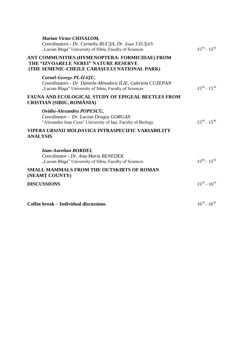| <b>Marian Victor CHISALOM,</b><br>Coordinators - Dr. Corneliu BUCSA, Dr. Ioan TAUSAN<br>"Lucian Blaga" University of Sibiu, Faculty of Sciences | $15^{10} - 15^{20}$ |
|-------------------------------------------------------------------------------------------------------------------------------------------------|---------------------|
| ANT COMMUNITIES (HYMENOPTERA: FORMICIDAE) FROM<br>THE "IZVOARELE NEREI" NATURE RESERVE<br>(THE SEMENIC-CHEILE CARASULUI NATIONAL PARK)          |                     |
| Cornel-George PLAIAŞU,<br>Coordinators - Dr. Daniela-Minodora ILIE, Gabriela CUZEPAN<br>"Lucian Blaga" University of Sibiu, Faculty of Sciences | $15^{20} - 15^{30}$ |
| <b>FAUNA AND ECOLOGICAL STUDY OF EPIGEAL BEETLES FROM</b><br>CRISTIAN (SIBIU, ROMÂNIA)                                                          |                     |
| Ovidiu-Alexandru POPESCU,<br>Coordinator - Dr. Lucian Dragos GORGAN<br>"Alexandru Ioan Cuza" University of Iași, Faculty of Biology             | $15^{30} - 15^{40}$ |
| VIPERA URSINII MOLDAVICA INTRASPECIFIC VARIABILITY<br><b>ANALYSIS</b>                                                                           |                     |
| <b>Ioan-Aurelian BORDEI,</b><br>Coordinator - Dr. Ana-Maria BENEDEK<br>"Lucian Blaga" University of Sibiu, Faculty of Sciences                  | $15^{40} - 15^{50}$ |
| <b>SMALL MAMMALS FROM THE OUTSKIRTS OF ROMAN</b><br>(NEAMT COUNTY)                                                                              |                     |
| <b>DISCUSSIONS</b>                                                                                                                              | $15^{50} - 16^{10}$ |
| <b>Coffee break – Individual discussions</b>                                                                                                    | $16^{10} - 16^{30}$ |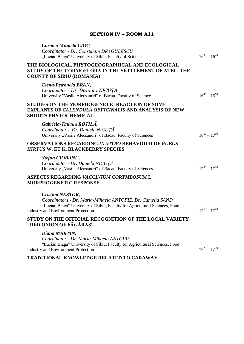| Carmen Mihaela CIOC,<br>Coordinator - Dr. Constantin DRĂGULESCU<br>"Lucian Blaga" University of Sibiu, Faculty of Sciences                                                                                  | $16^{30} - 16^{40}$ |
|-------------------------------------------------------------------------------------------------------------------------------------------------------------------------------------------------------------|---------------------|
| THE BIOLOGICAL, PHYTOGEOGRAPHICAL AND ECOLOGICAL<br>STUDY OF THE CORMOFLORA IN THE SETTLEMENT OF ATEL, THE<br><b>COUNTY OF SIBIU (ROMANIA)</b>                                                              |                     |
| Elena-Petronela BRAN,<br>Coordinator - Dr. Daniela NICUȚĂ<br>University "Vasile Alecsandri" of Bacau, Faculty of Science                                                                                    | $16^{40} - 16^{50}$ |
| STUDIES ON THE MORPHOGENETIC REACTION OF SOME<br><b>EXPLANTS OF CALENDULA OFFICINALIS AND ANALYSIS OF NEW</b><br><b>SHOOTS PHYTOCHEMICAL</b>                                                                |                     |
| Gabriela-Tatiana ROTILÁ,<br>Coordinator - Dr. Daniela NICUȚĂ<br>University "Vasile Alecsandri" of Bacau, Faculty of Sciences                                                                                | $16^{50} - 17^{00}$ |
| <b>OBSERVATIONS REGARDING IN VITRO BEHAVIOUR OF RUBUS</b><br>HIRTUS W. ET K. BLACKBERRY SPECIES                                                                                                             |                     |
| Ştefan CIOBANU,<br>Coordinator - Dr. Daniela NICUȚĂ<br>University "Vasile Alecsandri" of Bacau, Faculty of Sciences                                                                                         | $17^{00} - 17^{10}$ |
| ASPECTS REGARDING VACCINIUM CORYMBOSUM L.<br><b>MORPHOGENETIC RESPONSE</b>                                                                                                                                  |                     |
| Cristina NESTOR,<br>Coordinators - Dr. Maria-Mihaela ANTOFIE, Dr. Camelia SAND<br>"Lucian Blaga" University of Sibiu, Faculty for Agricultural Sciences, Food<br><b>Industry and Environment Protection</b> | $17^{10} - 17^{20}$ |
| STUDY ON THE OFFICIAL RECOGNITION OF THE LOCAL VARIETY<br>"RED ONION OF FĂGĂRAȘ"                                                                                                                            |                     |
| Diana MARTIN,<br>Coordinator - Dr. Maria-Mihaela ANTOFIE<br>"Lucian Blaga" University of Sibiu, Faculty for Agricultural Sciences, Food<br><b>Industry and Environment Protection</b>                       | $17^{20} - 17^{30}$ |

### **SECTION IV – ROOM A11**

**TRADITIONAL KNOWLEDGE RELATED TO CARAWAY**